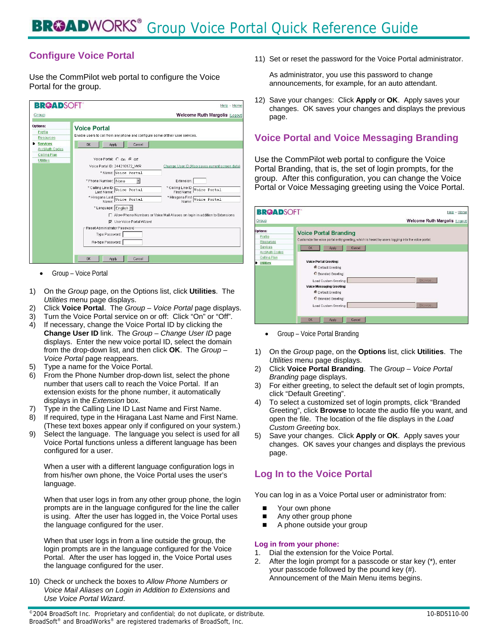# **Configure Voice Portal**

Use the CommPilot web portal to configure the Voice Portal for the group.



• Group – Voice Portal

- 1) On the *Group* page, on the Options list, click **Utilities**. The *Utilities* menu page displays.
- 2) Click **Voice Portal**. The *Group Voice Portal* page displays.
- 3) Turn the Voice Portal service on or off: Click "On" or "Off".
- 4) If necessary, change the Voice Portal ID by clicking the **Change User ID** link. The *Group – Change User ID* page displays. Enter the new voice portal ID, select the domain from the drop-down list, and then click **OK**. The *Group – Voice Portal* page reappears.
- 5) Type a name for the Voice Portal.
- 6) From the Phone Number drop-down list, select the phone number that users call to reach the Voice Portal. If an extension exists for the phone number, it automatically displays in the *Extension* box.
- 7) Type in the Calling Line ID Last Name and First Name.
- 8) If required, type in the Hiragana Last Name and First Name. (These text boxes appear only if configured on your system.)
- 9) Select the language. The language you select is used for all Voice Portal functions unless a different language has been configured for a user.

When a user with a different language configuration logs in from his/her own phone, the Voice Portal uses the user's language.

When that user logs in from any other group phone, the login prompts are in the language configured for the line the caller is using. After the user has logged in, the Voice Portal uses the language configured for the user.

When that user logs in from a line outside the group, the login prompts are in the language configured for the Voice Portal. After the user has logged in, the Voice Portal uses the language configured for the user.

10) Check or uncheck the boxes to *Allow Phone Numbers or Voice Mail Aliases on Login in Addition to Extensions* and *Use Voice Portal Wizard*.

11) Set or reset the password for the Voice Portal administrator.

As administrator, you use this password to change announcements, for example, for an auto attendant.

12) Save your changes: Click **Apply** or **OK**. Apply saves your changes. OK saves your changes and displays the previous page.

### **Voice Portal and Voice Messaging Branding**

Use the CommPilot web portal to configure the Voice Portal Branding, that is, the set of login prompts, for the group. After this configuration, you can change the Voice Portal or Voice Messaging greeting using the Voice Portal.

| Group                                         | Welcome Ruth Margolis [Logout]                                                                                                    |  |
|-----------------------------------------------|-----------------------------------------------------------------------------------------------------------------------------------|--|
| Options:<br>Profile<br><b>Resources</b>       | <b>Voice Portal Branding</b><br>Customize the voice portal entry greeting, which is heard by users logging into the voice portal. |  |
| <b>Services</b>                               | Cancel<br>Apply<br><b>OK</b>                                                                                                      |  |
| <b>Acct/Auth Codes</b><br><b>Calling Plan</b> |                                                                                                                                   |  |
| <b>Utilities</b>                              | <b>Voice Portal Greeting:</b>                                                                                                     |  |
|                                               | <b>C</b> Default Greeting                                                                                                         |  |
|                                               | G Branded Greeting:                                                                                                               |  |
|                                               | Browse.<br>Load Custom Greeting:                                                                                                  |  |
|                                               | <b>Voice Messaging Greeting:</b>                                                                                                  |  |
|                                               | <b>C</b> Default Greeting                                                                                                         |  |
|                                               | <b>O</b> Branded Greeting:                                                                                                        |  |
|                                               | <b>Browse</b><br>Load Custom Greeting:                                                                                            |  |

• Group – Voice Portal Branding

- 1) On the *Group* page, on the **Options** list, click **Utilities**. The *Utilities* menu page displays.
- 2) Click **Voice Portal Branding**. The *Group Voice Portal Branding* page displays.
- 3) For either greeting, to select the default set of login prompts, click "Default Greeting".
- 4) To select a customized set of login prompts, click "Branded Greeting", click **Browse** to locate the audio file you want, and open the file. The location of the file displays in the *Load Custom Greeting* box.
- 5) Save your changes. Click **Apply** or **OK**. Apply saves your changes. OK saves your changes and displays the previous page.

## **Log In to the Voice Portal**

You can log in as a Voice Portal user or administrator from:

- Your own phone
- Any other group phone
- A phone outside your group

#### **Log in from your phone:**

- 1. Dial the extension for the Voice Portal.
- 2. After the login prompt for a passcode or star key (\*), enter your passcode followed by the pound key (#). Announcement of the Main Menu items begins.

©2004 BroadSoft Inc. Proprietary and confidential; do not duplicate, or distribute. 10-BD5110-00 BroadSoft® and BroadWorks® are registered trademarks of BroadSoft, Inc.